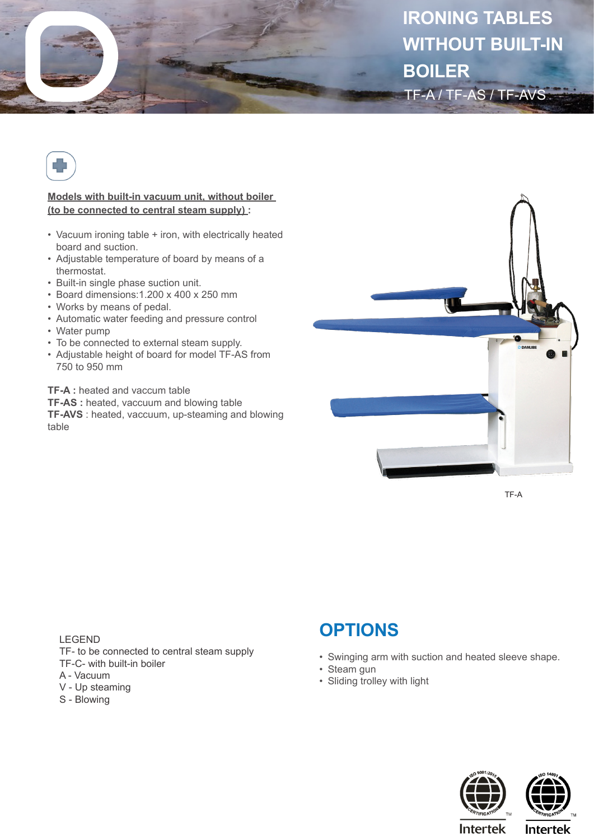



**Models with built-in vacuum unit, without boiler (to be connected to central steam supply) :**

- Vacuum ironing table + iron, with electrically heated board and suction.
- Adjustable temperature of board by means of a thermostat.
- Built-in single phase suction unit.
- Board dimensions:1.200 x 400 x 250 mm
- Works by means of pedal.
- Automatic water feeding and pressure control
- Water pump
- To be connected to external steam supply.
- Adjustable height of board for model TF-AS from 750 to 950 mm

**TF-A :** heated and vaccum table

**TF-AS :** heated, vaccuum and blowing table **TF-AVS** : heated, vaccuum, up-steaming and blowing table



TF-A

LEGEND TF- to be connected to central steam supply TF-C- with built-in boiler A - Vacuum V - Up steaming

- 
- S Blowing

## **OPTIONS**

- Swinging arm with suction and heated sleeve shape.
- Steam gun
- Sliding trolley with light